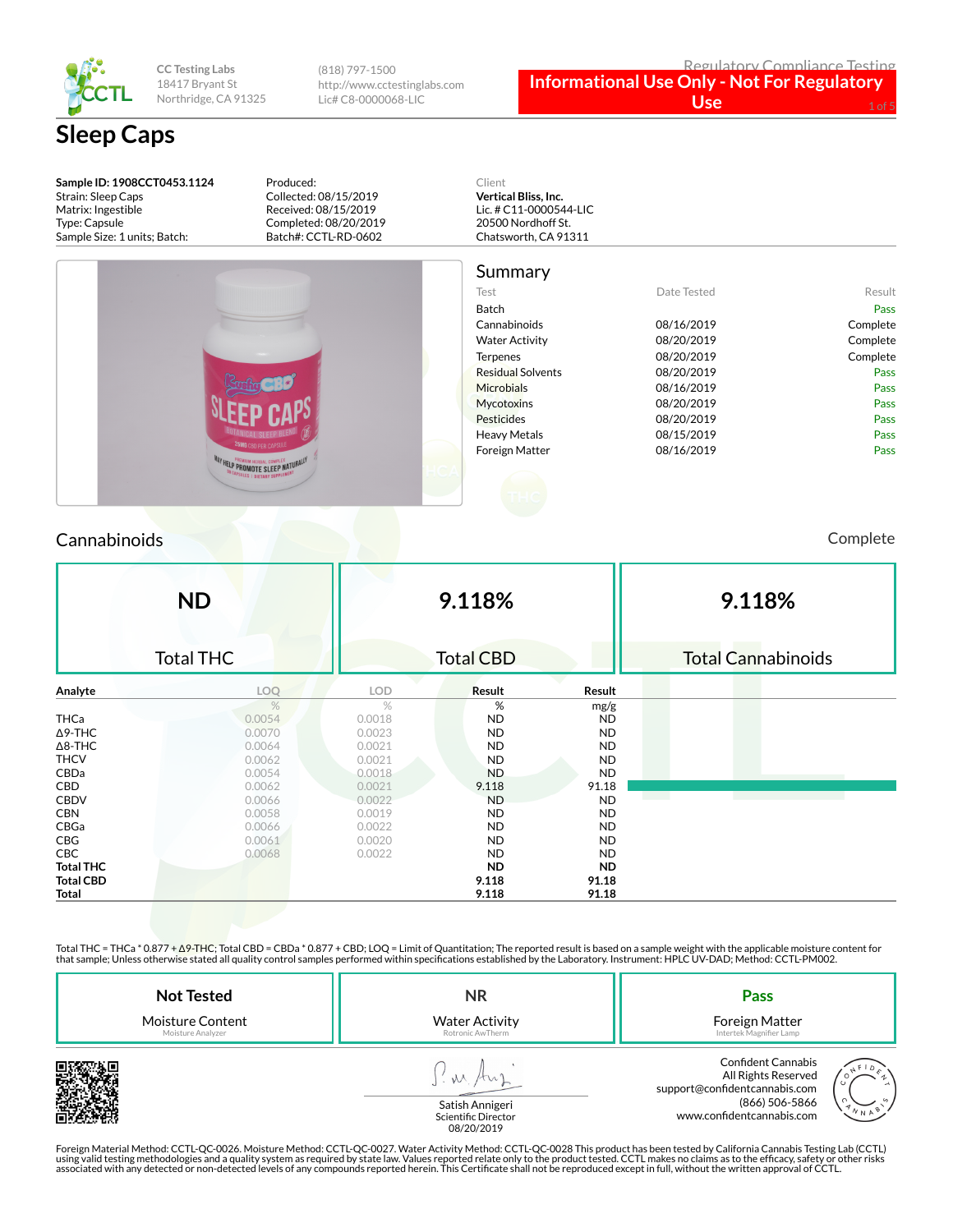

**CC Testing Labs** 18417 Bryant St Northridge, CA 91325

(818) 797-1500 http://www.cctestinglabs.com Lic# C8-0000068-LIC

# **Sleep Caps**

**Sample ID: 1908CCT0453.1124** Strain: Sleep Caps Matrix: Ingestible Type: Capsule Sample Size: 1 units; Batch:

Produced: Collected: 08/15/2019 Received: 08/15/2019 Completed: 08/20/2019 Batch#: CCTL-RD-0602



# Summary

|                                                                             | Julillial y              |             |          |
|-----------------------------------------------------------------------------|--------------------------|-------------|----------|
|                                                                             | Test                     | Date Tested | Result   |
|                                                                             | Batch                    |             | Pass     |
|                                                                             | Cannabinoids             | 08/16/2019  | Complete |
|                                                                             | <b>Water Activity</b>    | 08/20/2019  | Complete |
|                                                                             | Terpenes                 | 08/20/2019  | Complete |
|                                                                             | <b>Residual Solvents</b> | 08/20/2019  | Pass     |
|                                                                             | <b>Microbials</b>        | 08/16/2019  | Pass     |
|                                                                             | <b>Mycotoxins</b>        | 08/20/2019  | Pass     |
|                                                                             | Pesticides               | 08/20/2019  | Pass     |
|                                                                             | <b>Heavy Metals</b>      | 08/15/2019  | Pass     |
| <b>25MG CBD PER CAPSULE</b>                                                 | Foreign Matter           | 08/16/2019  | Pass     |
| <b>WAY HELP PROMOTE SLEEP NATURALLY</b><br><b>EXPROMOTE SLEEP NATURALLY</b> |                          |             |          |
|                                                                             |                          |             |          |
|                                                                             |                          |             |          |
|                                                                             |                          |             |          |

### Cannabinoids Complete

|                  | <b>ND</b>        | 9.118%     |                  |           | 9.118%                    |
|------------------|------------------|------------|------------------|-----------|---------------------------|
|                  | <b>Total THC</b> |            | <b>Total CBD</b> |           | <b>Total Cannabinoids</b> |
| Analyte          | LOQ              | <b>LOD</b> | Result           | Result    |                           |
|                  | $\frac{1}{2}$    | $\%$       | %                | mg/g      |                           |
| <b>THCa</b>      | 0.0054           | 0.0018     | <b>ND</b>        | <b>ND</b> |                           |
| $\Delta$ 9-THC   | 0.0070           | 0.0023     | <b>ND</b>        | <b>ND</b> |                           |
| $\Delta$ 8-THC   | 0.0064           | 0.0021     | <b>ND</b>        | <b>ND</b> |                           |
| <b>THCV</b>      | 0.0062           | 0.0021     | <b>ND</b>        | <b>ND</b> |                           |
| CBDa             | 0.0054           | 0.0018     | <b>ND</b>        | <b>ND</b> |                           |
| CBD              | 0.0062           | 0.0021     | 9.118            | 91.18     |                           |
| <b>CBDV</b>      | 0.0066           | 0.0022     | <b>ND</b>        | <b>ND</b> |                           |
| <b>CBN</b>       | 0.0058           | 0.0019     | <b>ND</b>        | <b>ND</b> |                           |
| CBGa             | 0.0066           | 0.0022     | <b>ND</b>        | <b>ND</b> |                           |
| CBG              | 0.0061           | 0.0020     | <b>ND</b>        | <b>ND</b> |                           |
| <b>CBC</b>       | 0.0068           | 0.0022     | <b>ND</b>        | <b>ND</b> |                           |
| <b>Total THC</b> |                  |            | <b>ND</b>        | ND.       |                           |
| <b>Total CBD</b> |                  |            | 9.118            | 91.18     |                           |
| Total            |                  |            | 9.118            | 91.18     |                           |

Total THC = THCa \* 0.877 + ∆9-THC; Total CBD = CBDa \* 0.877 + CBD; LOQ = Limit of Quantitation; The reported result is based on a sample weight with the applicable moisture content for that sample; Unless otherwise stated all quality control samples performed within specifications established by the Laboratory. Instrument: HPLC UV-DAD; Method: CCTL-PM002.

| <b>Not Tested</b>       | <b>NR</b>                              | Pass                                                                                                                                        |
|-------------------------|----------------------------------------|---------------------------------------------------------------------------------------------------------------------------------------------|
| <b>Moisture Content</b> | <b>Water Activity</b>                  | Foreign Matter                                                                                                                              |
| Moisture Analyzer       | Rotronic AwTherm                       | Intertek Magnifier Lamp                                                                                                                     |
|                         | Satish Annigeri<br>Scientific Director | <b>Confident Cannabis</b><br>All Rights Reserved<br>support@confidentcannabis.com<br>(866) 506-5866<br>∥ N A Y<br>www.confidentcannabis.com |



Satish Annigeri<br>Scientific Director 08/20/2019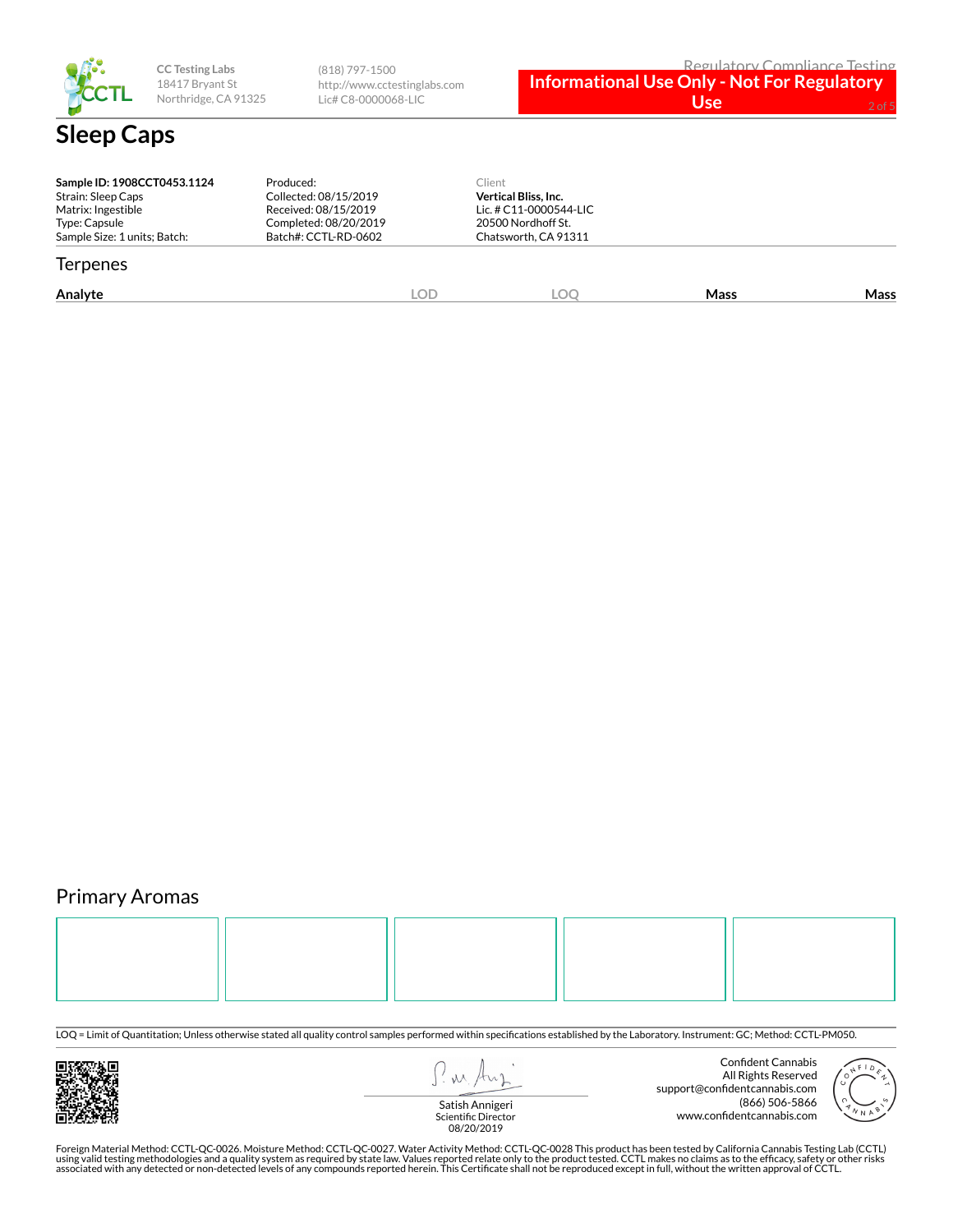

**CC Testing Labs** 18417 Bryant St Northridge, CA 91325

(818) 797-1500 http://www.cctestinglabs.com Lic# C8-0000068-LIC

**Informational Use Only - Not For Regulatory Use** 2 of

| Sample ID: 1908CCT0453.1124<br>Strain: Sleep Caps<br>Matrix: Ingestible<br>Type: Capsule<br>Sample Size: 1 units; Batch: | Produced:<br>Collected: 08/15/2019<br>Received: 08/15/2019<br>Completed: 08/20/2019<br>Batch#: CCTL-RD-0602 |     | Client<br><b>Vertical Bliss, Inc.</b><br>Lic. # C11-0000544-LIC<br>20500 Nordhoff St.<br>Chatsworth, CA 91311 |      |      |
|--------------------------------------------------------------------------------------------------------------------------|-------------------------------------------------------------------------------------------------------------|-----|---------------------------------------------------------------------------------------------------------------|------|------|
| <b>Terpenes</b>                                                                                                          |                                                                                                             |     |                                                                                                               |      |      |
| Analyte                                                                                                                  |                                                                                                             | LOD | LOC                                                                                                           | Mass | Mass |

## Primary Aromas



LOQ = Limit of Quantitation; Unless otherwise stated all quality control samples performed within specifications established by the Laboratory. Instrument: GC; Method: CCTL-PM050.



I'm Any

Confident Cannabis All Rights Reserved support@confidentcannabis.com (866) 506-5866 www.confidentcannabis.com



Satish Annigeri Scientific Director 08/20/2019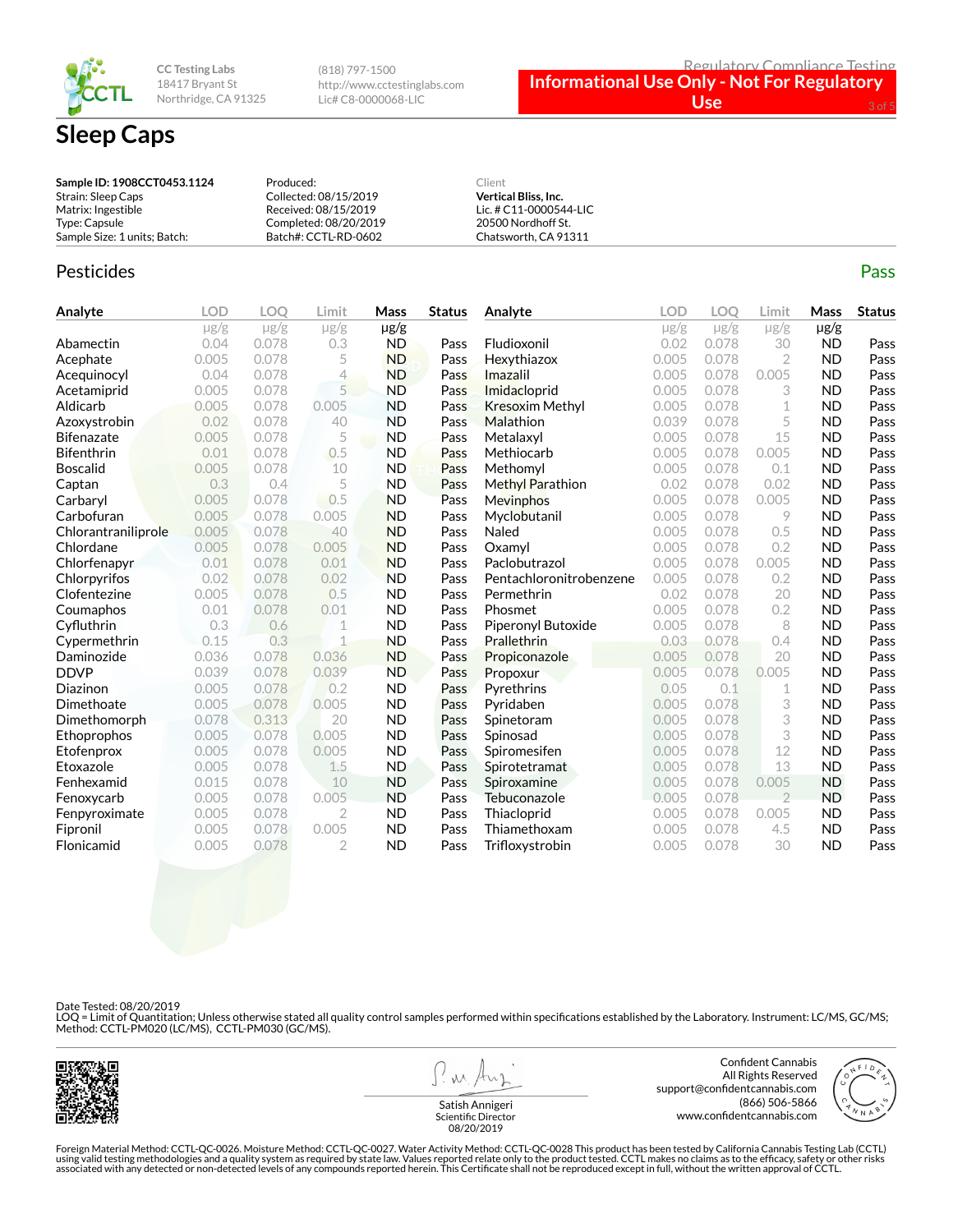

**CC Testing Labs** 18417 Bryant St Northridge, CA 91325 (818) 797-1500 http://www.cctestinglabs.com Lic# C8-0000068-LIC

#### Regulatory Compliance Testing **Informational Use Only - Not For Regulatory**  Use

| Sample ID: 1908CCT0453.1124  | Produced:             | Client                      |
|------------------------------|-----------------------|-----------------------------|
| Strain: Sleep Caps           | Collected: 08/15/2019 | <b>Vertical Bliss, Inc.</b> |
| Matrix: Ingestible           | Received: 08/15/2019  | Lic. # C11-0000544-LIC      |
| Type: Capsule                | Completed: 08/20/2019 | 20500 Nordhoff St.          |
| Sample Size: 1 units; Batch: | Batch#: CCTL-RD-0602  | Chatsworth, CA 91311        |

#### Pesticides **Passage Contract Contract Contract Contract Contract Contract Contract Contract Contract Contract Contract Contract Contract Contract Contract Contract Contract Contract Contract Contract Contract Contract Cont**

**Analyte LOD LOQ Limit Mass Status**  $\mu$ g/g  $\mu$ g/g  $\mu$ g/g  $\mu$ g/g **Abamectin** 0.04 0.078 0.3 **ND Pass Acephate** 0.005 0.078 5 **ND** Pass Acequinocyl 0.04 0.078 4 ND Pass Acetamiprid 0.005 0.078 5 ND Pass Aldicarb 0.005 0.078 0.005 ND Pass Azoxystrobin 0.02 0.078 40 ND Pass **Bifenazate 0.005 0.078 5 ND Pass Bifenthrin** 0.01 0.078 0.5 ND Pass **Boscalid 10 0.005 0.078 10 ND Pass Captan 12 0.3 0.4 5 ND Pass** Carbaryl 0.005 0.078 0.5 ND Pass Carbofuran 0.005 0.078 0.005 ND Pass Chlorantraniliprole 0.005 0.078 40 ND Pass Chlordane 0.005 0.078 0.005 ND Pass Chlorfenapyr 0.01 0.078 0.01 ND Pass Chlorpyrifos 0.02 0.078 0.02 ND Pass Clofentezine 0.005 0.078 0.5 ND Pass Coumaphos 0.01 0.078 0.01 ND Pass Cyfluthrin 0.3 0.6 1 ND Pass Cypermethrin 0.15 0.3 1 ND Pass **Daminozide** 0.036 0.078 0.036 **ND Pass** DDVP 0.039 0.078 0.039 ND Pass Diazinon 0.005 0.078 0.2 ND Pass Dimethoate 0.005 0.078 0.005 ND Pass Dimethomorph 0.078 0.313 20 ND Pass Ethoprophos 0.005 0.078 0.005 ND Pass Etofenprox 0.005 0.078 0.005 ND Pass Etoxazole 0.005 0.078 1.5 ND Pass Fenhexamid 0.015 0.078 10 ND Pass Fenoxycarb 0.005 0.078 0.005 ND Pass Fenpyroximate 0.005 0.078 2 ND Pass Fipronil 0.005 0.078 0.005 ND Pass Flonicamid 0.005 0.078 2 ND Pass **Analyte LOD LOQ Limit Mass Status** µg/g µg/g µg/g µg/g Fludioxonil 0.02 0.078 30 ND Pass Hexythiazox 0.005 0.078 2 ND Pass **Imazalil 1988** 0.005 0.000 0.000 0.000 0.000 **ND** Pass Imidacloprid 0.005 0.078 3 ND Pass Kresoxim Methyl  $0.005$  0.078 1 ND Pass **Malathion** 0.039 0.078 5 **ND Pass Metalaxyl** 0.005 0.078 15 **ND Pass** Methiocarb 0.005 0.078 0.005 ND Pass Methomyl 0.005 0.078 0.1 ND Pass Methyl Parathion **0.02 0.078 0.02 ND** Pass Mevinphos 0.005 0.078 0.005 ND Pass Myclobutanil 0.005 0.078 9 **ND Pass** Naled 0.005 0.078 0.5 ND Pass **Oxamyl** 0.005 0.078 0.2 **ND Pass** Paclobutrazol 0.005 0.078 0.005 ND Pass Pentachloronitrobenzene 0.005 0.078 0.2 ND Pass **Permethrin 1992 0.02 0.078 20 ND Pass Phosmet** 0.005 0.078 0.2 **ND Pass** Piperonyl Butoxide 0.005 0.078 8 ND Pass **Prallethrin 0.03 0.078 0.4 ND Pass** Propiconazole 0.005 0.078 20 ND Pass Propoxur 0.005 0.078 0.005 ND Pass Pyrethrins 0.05 0.1 1 ND Pass Pyridaben 0.005 0.078 3 ND Pass **Spinetoram 0.005 0.078 3 ND Pass** Spinosad 0.005 0.078 3 **ND Pass** Spiromesifen 0.005 0.078 12 ND Pass Spirotetramat 0.005 0.078 13 ND Pass **Spiroxamine** 0.005 0.078 0.005 **ND Pass** Tebuconazole 0.005 0.078 2 ND Pass Thiacloprid 0.005 0.078 0.005 ND Pass Thiamethoxam 0.005 0.078 4.5 ND Pass Trifloxystrobin 0.005 0.078 30 ND Pass

Date Tested: 08/20/2019

LOQ = Limit of Quantitation; Unless otherwise stated all quality control samples performed within specifications established by the Laboratory. Instrument: LC/MS, GC/MS;<br>Method: CCTL-PM020 (LC/MS), CCTL-PM030 (GC/MS).



 $M.$ 

Confident Cannabis All Rights Reserved support@confidentcannabis.com (866) 506-5866 www.confidentcannabis.com



Satish Annigeri Scientific Director 08/20/2019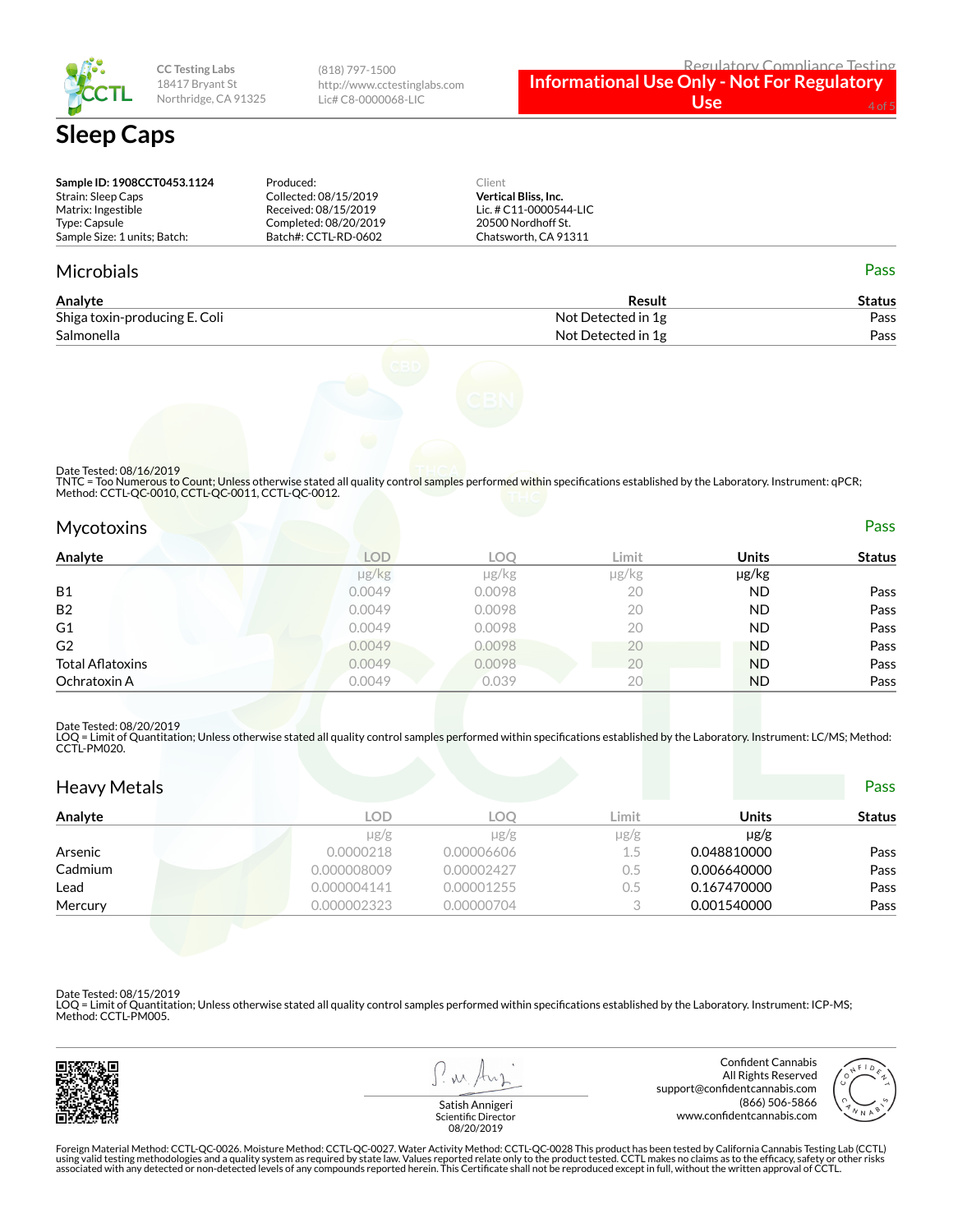

**CC Testing Labs** 18417 Bryant St Northridge, CA 91325

(818) 797-1500 http://www.cctestinglabs.com Lic# C8-0000068-LIC

| Sample ID: 1908CCT0453.1124  | Produced:             | Client                      |  |
|------------------------------|-----------------------|-----------------------------|--|
| Strain: Sleep Caps           | Collected: 08/15/2019 | <b>Vertical Bliss, Inc.</b> |  |
| Matrix: Ingestible           | Received: 08/15/2019  | Lic. # C11-0000544-LIC      |  |
| Type: Capsule                | Completed: 08/20/2019 | 20500 Nordhoff St.          |  |
| Sample Size: 1 units: Batch: | Batch#: CCTL-RD-0602  | Chatsworth, CA 91311        |  |

#### Microbials Pass

| Analyte                       | Result             | Status |
|-------------------------------|--------------------|--------|
| Shiga toxin-producing E. Coli | Not Detected in 1g | Pass   |
| Salmonella                    | Not Detected in 1g | Pass   |



Date Tested: 08/16/2019

TNTC = Too Numerous to Count; Unless otherwise stated all quality control samples performed within specifications established by the Laboratory. Instrument: qPCR; Method: CCTL-QC-0010, CCTL-QC-0011, CCTL-QC-0012.

| Mycotoxins       |            |        |       |              | Pass          |
|------------------|------------|--------|-------|--------------|---------------|
| Analyte          | <b>LOD</b> | LOQ    | Limit | <b>Units</b> | <b>Status</b> |
|                  | µg/kg      | µg/kg  | µg/kg | µg/kg        |               |
| <b>B1</b>        | 0.0049     | 0.0098 | 20    | <b>ND</b>    | Pass          |
| B2               | 0.0049     | 0.0098 | 20    | <b>ND</b>    | Pass          |
| G1               | 0.0049     | 0.0098 | 20    | <b>ND</b>    | Pass          |
| G2               | 0.0049     | 0.0098 | 20    | <b>ND</b>    | Pass          |
| Total Aflatoxins | 0.0049     | 0.0098 | 20    | <b>ND</b>    | Pass          |
| Ochratoxin A     | 0.0049     | 0.039  | 20    | <b>ND</b>    | Pass          |
|                  |            |        |       |              |               |

Date Tested: 08/20/2019

LOQ = Limit of Quantitation; Unless otherwise stated all quality control samples performed within specifications established by the Laboratory. Instrument: LC/MS; Method:<br>CCTL-PM020.

| <b>Heavy Metals</b> |             |            |           |              | <b>Pass</b>   |
|---------------------|-------------|------------|-----------|--------------|---------------|
| Analyte             | <b>LOD</b>  | LOO        | Limit     | <b>Units</b> | <b>Status</b> |
|                     | $\mu$ g/g   | $\mu$ g/g  | $\mu$ g/g | $\mu$ g/g    |               |
| Arsenic             | 0.0000218   | 0.00006606 | $1.5\,$   | 0.048810000  | Pass          |
| Cadmium             | 0.000008009 | 0.00002427 | $0.5\,$   | 0.006640000  | Pass          |
| Lead                | 0.000004141 | 0.00001255 | 0.5       | 0.167470000  | Pass          |
| Mercury             | 0.000002323 | 0.00000704 | $\cap$    | 0.001540000  | Pass          |

Date Tested: 08/15/2019

LOQ = Limit of Quantitation; Unless otherwise stated all quality control samples performed within specifications established by the Laboratory. Instrument: ICP-MS; Method: CCTL-PM005.



W



Satish Annigeri Scientific Director 08/20/2019